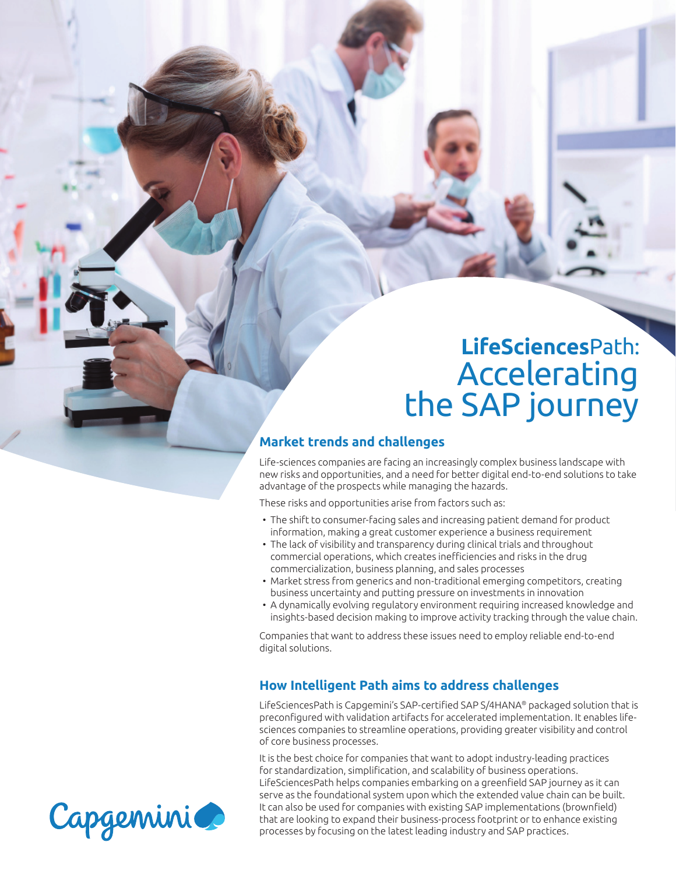# **LifeSciences**Path: the SAP journey

#### **Market trends and challenges**

Life-sciences companies are facing an increasingly complex business landscape with new risks and opportunities, and a need for better digital end-to-end solutions to take advantage of the prospects while managing the hazards.

These risks and opportunities arise from factors such as:

- The shift to consumer-facing sales and increasing patient demand for product information, making a great customer experience a business requirement
- The lack of visibility and transparency during clinical trials and throughout commercial operations, which creates inefficiencies and risks in the drug commercialization, business planning, and sales processes
- Market stress from generics and non-traditional emerging competitors, creating business uncertainty and putting pressure on investments in innovation
- A dynamically evolving regulatory environment requiring increased knowledge and insights-based decision making to improve activity tracking through the value chain.

Companies that want to address these issues need to employ reliable end-to-end digital solutions.

#### **How Intelligent Path aims to address challenges**

LifeSciencesPath is Capgemini's SAP-certified SAP S/4HANA® packaged solution that is preconfigured with validation artifacts for accelerated implementation. It enables lifesciences companies to streamline operations, providing greater visibility and control of core business processes.

It is the best choice for companies that want to adopt industry-leading practices for standardization, simplification, and scalability of business operations. LifeSciencesPath helps companies embarking on a greenfield SAP journey as it can serve as the foundational system upon which the extended value chain can be built. It can also be used for companies with existing SAP implementations (brownfield) that are looking to expand their business-process footprint or to enhance existing processes by focusing on the latest leading industry and SAP practices.